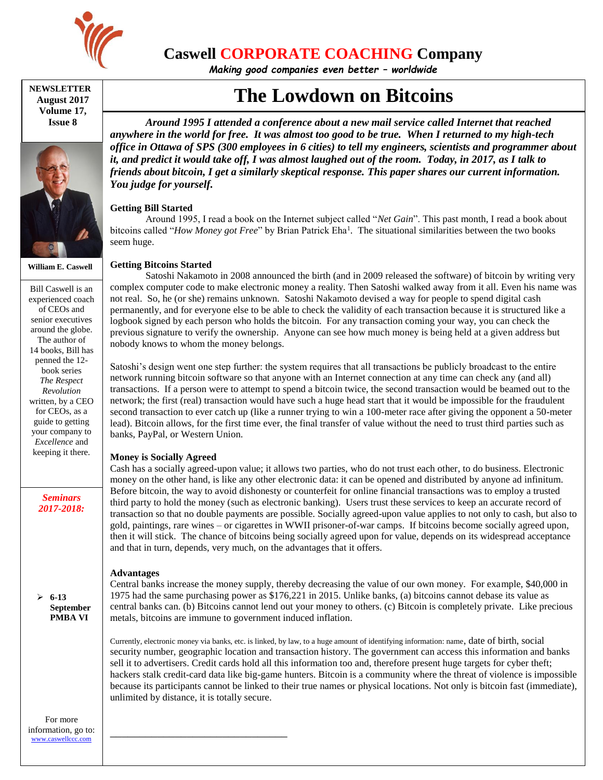

## **Caswell CORPORATE COACHING Company**

*Making good companies even better – worldwide*

#### **NEWSLETTER August 2017 Volume 17, Issue 8**



**William E. Caswell**

Bill Caswell is an experienced coach of CEOs and senior executives around the globe. The author of 14 books, Bill has penned the 12 book series *The Respect Revolution* written, by a CEO for CEOs, as a guide to getting your company to *Excellence* and keeping it there.

> *Seminars 2017-2018:*

 **6-13 September PMBA VI**

For more information, go to: [www.caswellccc.com](http://www.caswellccc.com/)

# **The Lowdown on Bitcoins**

*Around 1995 I attended a conference about a new mail service called Internet that reached anywhere in the world for free. It was almost too good to be true. When I returned to my high-tech office in Ottawa of SPS (300 employees in 6 cities) to tell my engineers, scientists and programmer about it, and predict it would take off, I was almost laughed out of the room. Today, in 2017, as I talk to friends about bitcoin, I get a similarly skeptical response. This paper shares our current information. You judge for yourself.*

### **Getting Bill Started**

Around 1995, I read a book on the Internet subject called "*Net Gain*". This past month, I read a book about bitcoins called "*How Money got Free*" by Brian Patrick Eha<sup>1</sup>. The situational similarities between the two books seem huge.

### **Getting Bitcoins Started**

Satoshi Nakamoto in 2008 announced the birth (and in 2009 released the software) of bitcoin by writing very complex computer code to make electronic money a reality. Then Satoshi walked away from it all. Even his name was not real. So, he (or she) remains unknown. Satoshi Nakamoto devised a way for people to spend digital cash permanently, and for everyone else to be able to check the validity of each transaction because it is structured like a logbook signed by each person who holds the bitcoin. For any transaction coming your way, you can check the previous signature to verify the ownership. Anyone can see how much money is being held at a given address but nobody knows to whom the money belongs.

Satoshi's design went one step further: the system requires that all transactions be publicly broadcast to the entire network running bitcoin software so that anyone with an Internet connection at any time can check any (and all) transactions. If a person were to attempt to spend a bitcoin twice, the second transaction would be beamed out to the network; the first (real) transaction would have such a huge head start that it would be impossible for the fraudulent second transaction to ever catch up (like a runner trying to win a 100-meter race after giving the opponent a 50-meter lead). Bitcoin allows, for the first time ever, the final transfer of value without the need to trust third parties such as banks, PayPal, or Western Union.

### **Money is Socially Agreed**

\_\_\_\_\_\_\_\_\_\_\_\_\_\_\_\_\_\_\_\_\_\_\_\_\_\_\_\_\_\_

Cash has a socially agreed-upon value; it allows two parties, who do not trust each other, to do business. Electronic money on the other hand, is like any other electronic data: it can be opened and distributed by anyone ad infinitum. Before bitcoin, the way to avoid dishonesty or counterfeit for online financial transactions was to employ a trusted third party to hold the money (such as electronic banking). Users trust these services to keep an accurate record of transaction so that no double payments are possible. Socially agreed-upon value applies to not only to cash, but also to gold, paintings, rare wines – or cigarettes in WWII prisoner-of-war camps. If bitcoins become socially agreed upon, then it will stick. The chance of bitcoins being socially agreed upon for value, depends on its widespread acceptance and that in turn, depends, very much, on the advantages that it offers.

### **Advantages**

Central banks increase the money supply, thereby decreasing the value of our own money. For example, \$40,000 in 1975 had the same purchasing power as \$176,221 in 2015. Unlike banks, (a) bitcoins cannot debase its value as central banks can. (b) Bitcoins cannot lend out your money to others. (c) Bitcoin is completely private. Like precious metals, bitcoins are immune to government induced inflation.

Currently, electronic money via banks, etc. is linked, by law, to a huge amount of identifying information: name, date of birth, social security number, geographic location and transaction history. The government can access this information and banks sell it to advertisers. Credit cards hold all this information too and, therefore present huge targets for cyber theft; hackers stalk credit-card data like big-game hunters. Bitcoin is a community where the threat of violence is impossible because its participants cannot be linked to their true names or physical locations. Not only is bitcoin fast (immediate), unlimited by distance, it is totally secure.